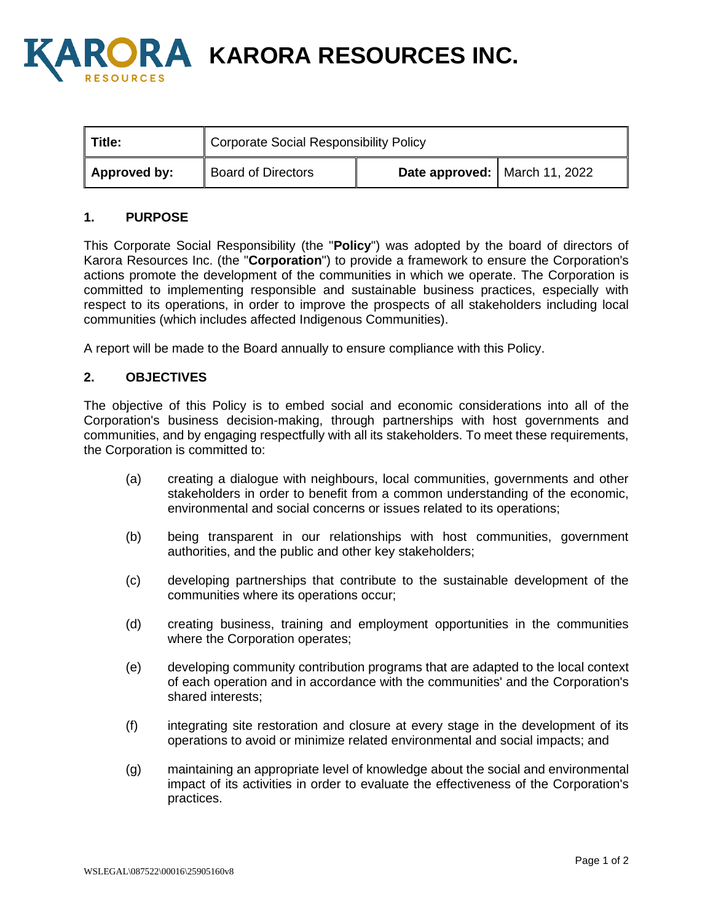

**A KARORA RESOURCES INC.** 

| <b>Title:</b> | <b>Corporate Social Responsibility Policy</b> |                               |  |
|---------------|-----------------------------------------------|-------------------------------|--|
| Approved by:  | <b>Board of Directors</b>                     | Date approved: March 11, 2022 |  |

## **1. PURPOSE**

This Corporate Social Responsibility (the "**Policy**") was adopted by the board of directors of Karora Resources Inc. (the "**Corporation**") to provide a framework to ensure the Corporation's actions promote the development of the communities in which we operate. The Corporation is committed to implementing responsible and sustainable business practices, especially with respect to its operations, in order to improve the prospects of all stakeholders including local communities (which includes affected Indigenous Communities).

A report will be made to the Board annually to ensure compliance with this Policy.

## **2. OBJECTIVES**

The objective of this Policy is to embed social and economic considerations into all of the Corporation's business decision-making, through partnerships with host governments and communities, and by engaging respectfully with all its stakeholders. To meet these requirements, the Corporation is committed to:

- (a) creating a dialogue with neighbours, local communities, governments and other stakeholders in order to benefit from a common understanding of the economic, environmental and social concerns or issues related to its operations;
- (b) being transparent in our relationships with host communities, government authorities, and the public and other key stakeholders;
- (c) developing partnerships that contribute to the sustainable development of the communities where its operations occur;
- (d) creating business, training and employment opportunities in the communities where the Corporation operates;
- (e) developing community contribution programs that are adapted to the local context of each operation and in accordance with the communities' and the Corporation's shared interests;
- (f) integrating site restoration and closure at every stage in the development of its operations to avoid or minimize related environmental and social impacts; and
- (g) maintaining an appropriate level of knowledge about the social and environmental impact of its activities in order to evaluate the effectiveness of the Corporation's practices.